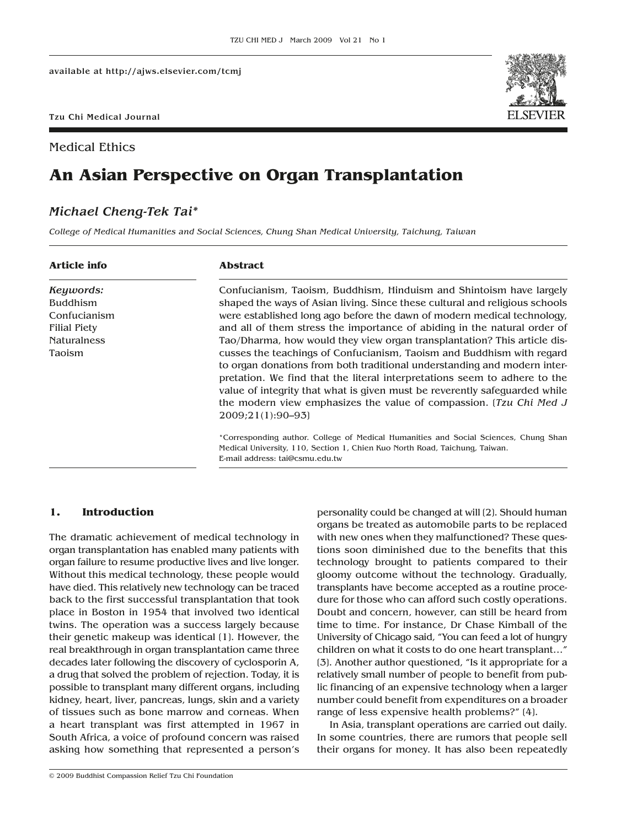# Medical Ethics

# **An Asian Perspective on Organ Transplantation**

# *Michael Cheng-Tek Tai\**

*College of Medical Humanities and Social Sciences, Chung Shan Medical University, Taichung, Taiwan*

| Article info        | <b>Abstract</b>                                                                                                                                                                                                                                                                                                                                                                                         |
|---------------------|---------------------------------------------------------------------------------------------------------------------------------------------------------------------------------------------------------------------------------------------------------------------------------------------------------------------------------------------------------------------------------------------------------|
| Keywords:           | Confucianism, Taoism, Buddhism, Hinduism and Shintoism have largely                                                                                                                                                                                                                                                                                                                                     |
| <b>Buddhism</b>     | shaped the ways of Asian living. Since these cultural and religious schools                                                                                                                                                                                                                                                                                                                             |
| Confucianism        | were established long ago before the dawn of modern medical technology,                                                                                                                                                                                                                                                                                                                                 |
| <b>Filial Piety</b> | and all of them stress the importance of abiding in the natural order of                                                                                                                                                                                                                                                                                                                                |
| <b>Naturalness</b>  | Tao/Dharma, how would they view organ transplantation? This article dis-                                                                                                                                                                                                                                                                                                                                |
| Taoism              | cusses the teachings of Confucianism, Taoism and Buddhism with regard<br>to organ donations from both traditional understanding and modern inter-<br>pretation. We find that the literal interpretations seem to adhere to the<br>value of integrity that what is given must be reverently safeguarded while<br>the modern view emphasizes the value of compassion. (Tzu Chi Med J<br>2009;21(1):90-93) |
|                     | *Corresponding author. College of Medical Humanities and Social Sciences, Chung Shan<br>Medical University, 110, Section 1, Chien Kuo North Road, Taichung, Taiwan.<br>E-mail address: tai@csmu.edu.tw                                                                                                                                                                                                  |

## **1. Introduction**

The dramatic achievement of medical technology in organ transplantation has enabled many patients with organ failure to resume productive lives and live longer. Without this medical technology, these people would have died. This relatively new technology can be traced back to the first successful transplantation that took place in Boston in 1954 that involved two identical twins. The operation was a success largely because their genetic makeup was identical [1]. However, the real breakthrough in organ transplantation came three decades later following the discovery of cyclosporin A, a drug that solved the problem of rejection. Today, it is possible to transplant many different organs, including kidney, heart, liver, pancreas, lungs, skin and a variety of tissues such as bone marrow and corneas. When a heart transplant was first attempted in 1967 in South Africa, a voice of profound concern was raised asking how something that represented a person's personality could be changed at will [2]. Should human organs be treated as automobile parts to be replaced with new ones when they malfunctioned? These questions soon diminished due to the benefits that this technology brought to patients compared to their gloomy outcome without the technology. Gradually, transplants have become accepted as a routine procedure for those who can afford such costly operations. Doubt and concern, however, can still be heard from time to time. For instance, Dr Chase Kimball of the University of Chicago said, "You can feed a lot of hungry children on what it costs to do one heart transplant…" [3]. Another author questioned, "Is it appropriate for a relatively small number of people to benefit from public financing of an expensive technology when a larger number could benefit from expenditures on a broader range of less expensive health problems?" [4].

In Asia, transplant operations are carried out daily. In some countries, there are rumors that people sell their organs for money. It has also been repeatedly

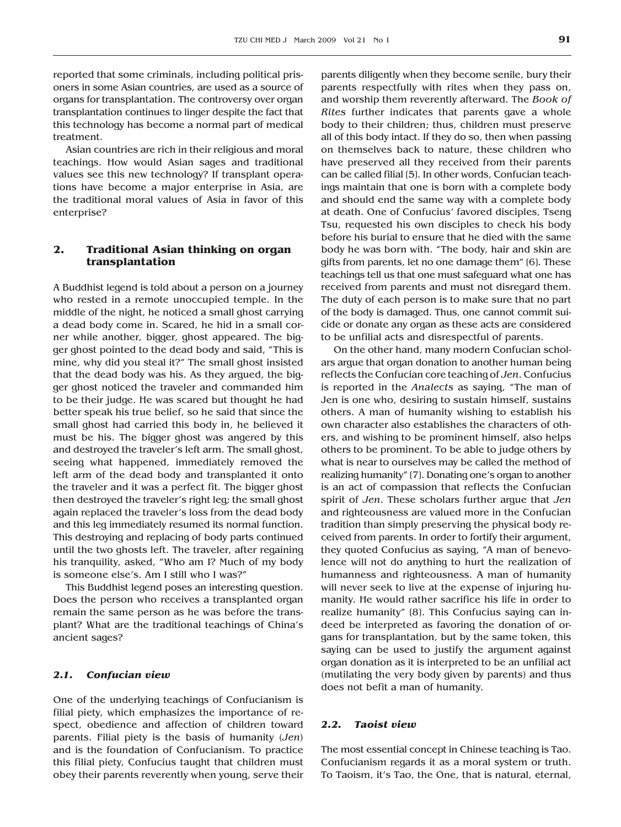reported that some criminals, including political prisoners in some Asian countries, are used as a source of organs for transplantation. The controversy over organ transplantation continues to linger despite the fact that this technology has become a normal part of medical treatment.

Asian countries are rich in their religious and moral teachings. How would Asian sages and traditional values see this new technology? If transplant operations have become a major enterprise in Asia, are the traditional moral values of Asia in favor of this enterprise?

### **2. Traditional Asian thinking on organ transplantation**

A Buddhist legend is told about a person on a journey who rested in a remote unoccupied temple. In the middle of the night, he noticed a small ghost carrying a dead body come in. Scared, he hid in a small corner while another, bigger, ghost appeared. The bigger ghost pointed to the dead body and said, "This is mine, why did you steal it?" The small ghost insisted that the dead body was his. As they argued, the bigger ghost noticed the traveler and commanded him to be their judge. He was scared but thought he had better speak his true belief, so he said that since the small ghost had carried this body in, he believed it must be his. The bigger ghost was angered by this and destroyed the traveler's left arm. The small ghost, seeing what happened, immediately removed the left arm of the dead body and transplanted it onto the traveler and it was a perfect fit. The bigger ghost then destroyed the traveler's right leg; the small ghost again replaced the traveler's loss from the dead body and this leg immediately resumed its normal function. This destroying and replacing of body parts continued until the two ghosts left. The traveler, after regaining his tranquility, asked, "Who am I? Much of my body is someone else's. Am I still who I was?"

This Buddhist legend poses an interesting question. Does the person who receives a transplanted organ remain the same person as he was before the transplant? What are the traditional teachings of China's ancient sages?

#### *2.1. Confucian view*

One of the underlying teachings of Confucianism is filial piety, which emphasizes the importance of respect, obedience and affection of children toward parents. Filial piety is the basis of humanity (*Jen*) and is the foundation of Confucianism. To practice this filial piety, Confucius taught that children must obey their parents reverently when young, serve their parents diligently when they become senile, bury their parents respectfully with rites when they pass on, and worship them reverently afterward. The *Book of Rites* further indicates that parents gave a whole body to their children; thus, children must preserve all of this body intact. If they do so, then when passing on themselves back to nature, these children who have preserved all they received from their parents can be called filial [5]. In other words, Confucian teachings maintain that one is born with a complete body and should end the same way with a complete body at death. One of Confucius' favored disciples, Tseng Tsu, requested his own disciples to check his body before his burial to ensure that he died with the same body he was born with. "The body, hair and skin are gifts from parents, let no one damage them" [6]. These teachings tell us that one must safeguard what one has received from parents and must not disregard them. The duty of each person is to make sure that no part of the body is damaged. Thus, one cannot commit suicide or donate any organ as these acts are considered to be unfilial acts and disrespectful of parents.

On the other hand, many modern Confucian scholars argue that organ donation to another human being reflects the Confucian core teaching of *Jen*. Confucius is reported in the *Analects* as saying, "The man of Jen is one who, desiring to sustain himself, sustains others. A man of humanity wishing to establish his own character also establishes the characters of others, and wishing to be prominent himself, also helps others to be prominent. To be able to judge others by what is near to ourselves may be called the method of realizing humanity" [7]. Donating one's organ to another is an act of compassion that reflects the Confucian spirit of *Jen*. These scholars further argue that *Jen* and righteousness are valued more in the Confucian tradition than simply preserving the physical body received from parents. In order to fortify their argument, they quoted Confucius as saying, "A man of benevolence will not do anything to hurt the realization of humanness and righteousness. A man of humanity will never seek to live at the expense of injuring humanity. He would rather sacrifice his life in order to realize humanity" [8]. This Confucius saying can indeed be interpreted as favoring the donation of organs for transplantation, but by the same token, this saying can be used to justify the argument against organ donation as it is interpreted to be an unfilial act (mutilating the very body given by parents) and thus does not befit a man of humanity.

#### *2.2. Taoist view*

The most essential concept in Chinese teaching is Tao. Confucianism regards it as a moral system or truth. To Taoism, it's Tao, the One, that is natural, eternal,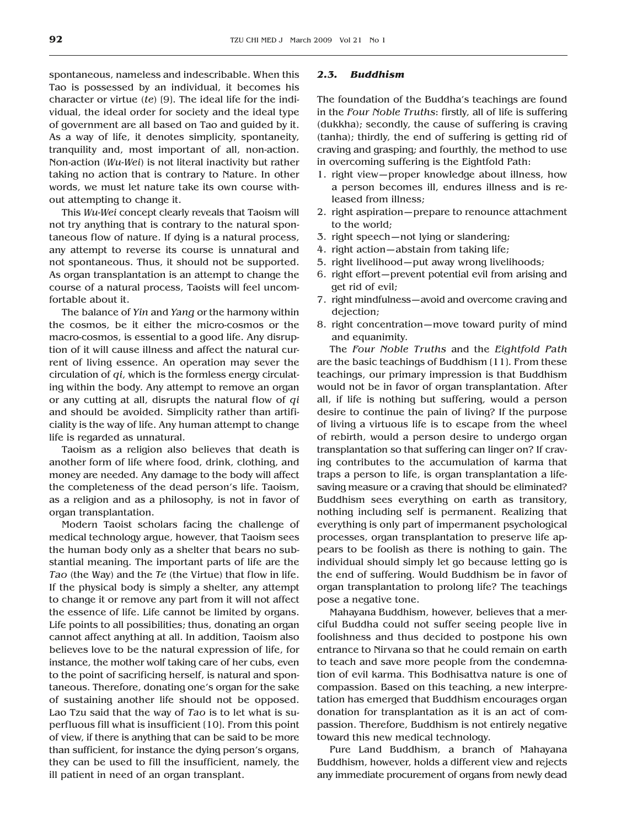spontaneous, nameless and indescribable. When this Tao is possessed by an individual, it becomes his character or virtue (*te*) [9]. The ideal life for the individual, the ideal order for society and the ideal type of government are all based on Tao and guided by it. As a way of life, it denotes simplicity, spontaneity, tranquility and, most important of all, non-action. Non-action (*Wu-Wei*) is not literal inactivity but rather taking no action that is contrary to Nature. In other words, we must let nature take its own course without attempting to change it.

This *Wu-Wei* concept clearly reveals that Taoism will not try anything that is contrary to the natural spontaneous flow of nature. If dying is a natural process, any attempt to reverse its course is unnatural and not spontaneous. Thus, it should not be supported. As organ transplantation is an attempt to change the course of a natural process, Taoists will feel uncomfortable about it.

The balance of *Yin* and *Yang* or the harmony within the cosmos, be it either the micro-cosmos or the macro-cosmos, is essential to a good life. Any disruption of it will cause illness and affect the natural current of living essence. An operation may sever the circulation of *qi*, which is the formless energy circulating within the body. Any attempt to remove an organ or any cutting at all, disrupts the natural flow of *qi* and should be avoided. Simplicity rather than artificiality is the way of life. Any human attempt to change life is regarded as unnatural.

Taoism as a religion also believes that death is another form of life where food, drink, clothing, and money are needed. Any damage to the body will affect the completeness of the dead person's life. Taoism, as a religion and as a philosophy, is not in favor of organ transplantation.

Modern Taoist scholars facing the challenge of medical technology argue, however, that Taoism sees the human body only as a shelter that bears no substantial meaning. The important parts of life are the *Tao* (the Way) and the *Te* (the Virtue) that flow in life. If the physical body is simply a shelter, any attempt to change it or remove any part from it will not affect the essence of life. Life cannot be limited by organs. Life points to all possibilities; thus, donating an organ cannot affect anything at all. In addition, Taoism also believes love to be the natural expression of life, for instance, the mother wolf taking care of her cubs, even to the point of sacrificing herself, is natural and spontaneous. Therefore, donating one's organ for the sake of sustaining another life should not be opposed. Lao Tzu said that the way of *Tao* is to let what is superfluous fill what is insufficient [10]. From this point of view, if there is anything that can be said to be more than sufficient, for instance the dying person's organs, they can be used to fill the insufficient, namely, the ill patient in need of an organ transplant.

#### *2.3. Buddhism*

The foundation of the Buddha's teachings are found in the *Four Noble Truths*: firstly, all of life is suffering (dukkha); secondly, the cause of suffering is craving (tanha); thirdly, the end of suffering is getting rid of craving and grasping; and fourthly, the method to use in overcoming suffering is the Eightfold Path:

- 1. right view—proper knowledge about illness, how a person becomes ill, endures illness and is released from illness;
- 2. right aspiration—prepare to renounce attachment to the world;
- 3. right speech—not lying or slandering;
- 4. right action—abstain from taking life;
- 5. right livelihood—put away wrong livelihoods;
- 6. right effort—prevent potential evil from arising and get rid of evil;
- 7. right mindfulness—avoid and overcome craving and dejection;
- 8. right concentration—move toward purity of mind and equanimity.

The *Four Noble Truths* and the *Eightfold Path* are the basic teachings of Buddhism [11]. From these teachings, our primary impression is that Buddhism would not be in favor of organ transplantation. After all, if life is nothing but suffering, would a person desire to continue the pain of living? If the purpose of living a virtuous life is to escape from the wheel of rebirth, would a person desire to undergo organ transplantation so that suffering can linger on? If craving contributes to the accumulation of karma that traps a person to life, is organ transplantation a lifesaving measure or a craving that should be eliminated? Buddhism sees everything on earth as transitory, nothing including self is permanent. Realizing that everything is only part of impermanent psychological processes, organ transplantation to preserve life appears to be foolish as there is nothing to gain. The individual should simply let go because letting go is the end of suffering. Would Buddhism be in favor of organ transplantation to prolong life? The teachings pose a negative tone.

Mahayana Buddhism, however, believes that a merciful Buddha could not suffer seeing people live in foolishness and thus decided to postpone his own entrance to Nirvana so that he could remain on earth to teach and save more people from the condemnation of evil karma. This Bodhisattva nature is one of compassion. Based on this teaching, a new interpretation has emerged that Buddhism encourages organ donation for transplantation as it is an act of compassion. Therefore, Buddhism is not entirely negative toward this new medical technology.

Pure Land Buddhism, a branch of Mahayana Buddhism, however, holds a different view and rejects any immediate procurement of organs from newly dead